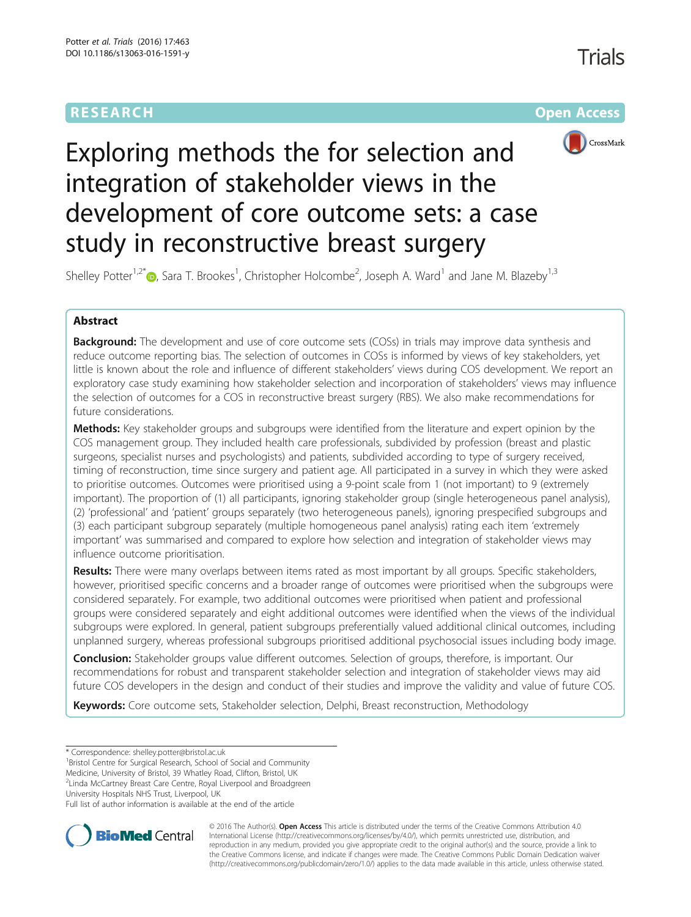# **RESEARCH CHE Open Access**

Trials



# Exploring methods the for selection and integration of stakeholder views in the development of core outcome sets: a case study in reconstructive breast surgery

Shelley Potter<sup>1[,](http://orcid.org/0000-0002-6977-312X)2\*</sup>®, Sara T. Brookes<sup>1</sup>, Christopher Holcombe<sup>2</sup>, Joseph A. Ward<sup>1</sup> and Jane M. Blazeby<sup>1,3</sup>

# Abstract

**Background:** The development and use of core outcome sets (COSs) in trials may improve data synthesis and reduce outcome reporting bias. The selection of outcomes in COSs is informed by views of key stakeholders, yet little is known about the role and influence of different stakeholders' views during COS development. We report an exploratory case study examining how stakeholder selection and incorporation of stakeholders' views may influence the selection of outcomes for a COS in reconstructive breast surgery (RBS). We also make recommendations for future considerations.

Methods: Key stakeholder groups and subgroups were identified from the literature and expert opinion by the COS management group. They included health care professionals, subdivided by profession (breast and plastic surgeons, specialist nurses and psychologists) and patients, subdivided according to type of surgery received, timing of reconstruction, time since surgery and patient age. All participated in a survey in which they were asked to prioritise outcomes. Outcomes were prioritised using a 9-point scale from 1 (not important) to 9 (extremely important). The proportion of (1) all participants, ignoring stakeholder group (single heterogeneous panel analysis), (2) 'professional' and 'patient' groups separately (two heterogeneous panels), ignoring prespecified subgroups and (3) each participant subgroup separately (multiple homogeneous panel analysis) rating each item 'extremely important' was summarised and compared to explore how selection and integration of stakeholder views may influence outcome prioritisation.

Results: There were many overlaps between items rated as most important by all groups. Specific stakeholders, however, prioritised specific concerns and a broader range of outcomes were prioritised when the subgroups were considered separately. For example, two additional outcomes were prioritised when patient and professional groups were considered separately and eight additional outcomes were identified when the views of the individual subgroups were explored. In general, patient subgroups preferentially valued additional clinical outcomes, including unplanned surgery, whereas professional subgroups prioritised additional psychosocial issues including body image.

**Conclusion:** Stakeholder groups value different outcomes. Selection of groups, therefore, is important. Our recommendations for robust and transparent stakeholder selection and integration of stakeholder views may aid future COS developers in the design and conduct of their studies and improve the validity and value of future COS.

Keywords: Core outcome sets, Stakeholder selection, Delphi, Breast reconstruction, Methodology

<sup>1</sup>Bristol Centre for Surgical Research, School of Social and Community

Medicine, University of Bristol, 39 Whatley Road, Clifton, Bristol, UK

2 Linda McCartney Breast Care Centre, Royal Liverpool and Broadgreen

University Hospitals NHS Trust, Liverpool, UK

Full list of author information is available at the end of the article



© 2016 The Author(s). Open Access This article is distributed under the terms of the Creative Commons Attribution 4.0 International License [\(http://creativecommons.org/licenses/by/4.0/](http://creativecommons.org/licenses/by/4.0/)), which permits unrestricted use, distribution, and reproduction in any medium, provided you give appropriate credit to the original author(s) and the source, provide a link to the Creative Commons license, and indicate if changes were made. The Creative Commons Public Domain Dedication waiver [\(http://creativecommons.org/publicdomain/zero/1.0/](http://creativecommons.org/publicdomain/zero/1.0/)) applies to the data made available in this article, unless otherwise stated.

<sup>\*</sup> Correspondence: [shelley.potter@bristol.ac.uk](mailto:shelley.potter@bristol.ac.uk) <sup>1</sup>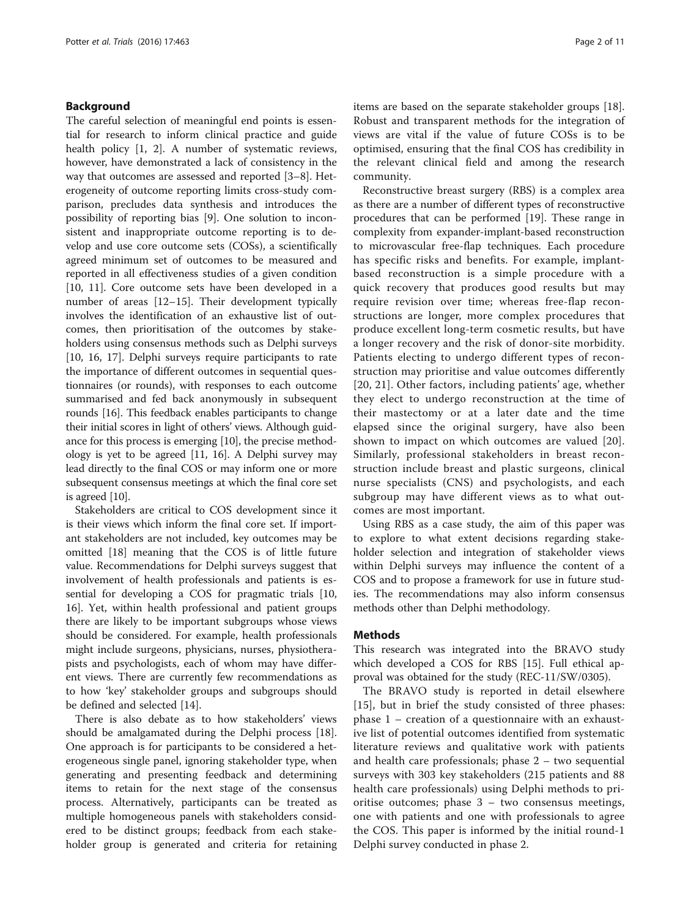# Background

The careful selection of meaningful end points is essential for research to inform clinical practice and guide health policy [[1, 2\]](#page-9-0). A number of systematic reviews, however, have demonstrated a lack of consistency in the way that outcomes are assessed and reported [[3](#page-9-0)–[8\]](#page-9-0). Heterogeneity of outcome reporting limits cross-study comparison, precludes data synthesis and introduces the possibility of reporting bias [[9\]](#page-9-0). One solution to inconsistent and inappropriate outcome reporting is to develop and use core outcome sets (COSs), a scientifically agreed minimum set of outcomes to be measured and reported in all effectiveness studies of a given condition [[10, 11](#page-9-0)]. Core outcome sets have been developed in a number of areas [[12](#page-9-0)–[15](#page-9-0)]. Their development typically involves the identification of an exhaustive list of outcomes, then prioritisation of the outcomes by stakeholders using consensus methods such as Delphi surveys [[10, 16, 17\]](#page-9-0). Delphi surveys require participants to rate the importance of different outcomes in sequential questionnaires (or rounds), with responses to each outcome summarised and fed back anonymously in subsequent rounds [\[16\]](#page-9-0). This feedback enables participants to change their initial scores in light of others' views. Although guidance for this process is emerging [\[10\]](#page-9-0), the precise methodology is yet to be agreed [\[11, 16\]](#page-9-0). A Delphi survey may lead directly to the final COS or may inform one or more subsequent consensus meetings at which the final core set is agreed [\[10](#page-9-0)].

Stakeholders are critical to COS development since it is their views which inform the final core set. If important stakeholders are not included, key outcomes may be omitted [[18](#page-9-0)] meaning that the COS is of little future value. Recommendations for Delphi surveys suggest that involvement of health professionals and patients is essential for developing a COS for pragmatic trials [[10](#page-9-0), [16\]](#page-9-0). Yet, within health professional and patient groups there are likely to be important subgroups whose views should be considered. For example, health professionals might include surgeons, physicians, nurses, physiotherapists and psychologists, each of whom may have different views. There are currently few recommendations as to how 'key' stakeholder groups and subgroups should be defined and selected [[14](#page-9-0)].

There is also debate as to how stakeholders' views should be amalgamated during the Delphi process [\[18](#page-9-0)]. One approach is for participants to be considered a heterogeneous single panel, ignoring stakeholder type, when generating and presenting feedback and determining items to retain for the next stage of the consensus process. Alternatively, participants can be treated as multiple homogeneous panels with stakeholders considered to be distinct groups; feedback from each stakeholder group is generated and criteria for retaining items are based on the separate stakeholder groups [\[18](#page-9-0)]. Robust and transparent methods for the integration of views are vital if the value of future COSs is to be optimised, ensuring that the final COS has credibility in the relevant clinical field and among the research community.

Reconstructive breast surgery (RBS) is a complex area as there are a number of different types of reconstructive procedures that can be performed [\[19\]](#page-9-0). These range in complexity from expander-implant-based reconstruction to microvascular free-flap techniques. Each procedure has specific risks and benefits. For example, implantbased reconstruction is a simple procedure with a quick recovery that produces good results but may require revision over time; whereas free-flap reconstructions are longer, more complex procedures that produce excellent long-term cosmetic results, but have a longer recovery and the risk of donor-site morbidity. Patients electing to undergo different types of reconstruction may prioritise and value outcomes differently [[20](#page-9-0), [21\]](#page-9-0). Other factors, including patients' age, whether they elect to undergo reconstruction at the time of their mastectomy or at a later date and the time elapsed since the original surgery, have also been shown to impact on which outcomes are valued [[20](#page-9-0)]. Similarly, professional stakeholders in breast reconstruction include breast and plastic surgeons, clinical nurse specialists (CNS) and psychologists, and each subgroup may have different views as to what outcomes are most important.

Using RBS as a case study, the aim of this paper was to explore to what extent decisions regarding stakeholder selection and integration of stakeholder views within Delphi surveys may influence the content of a COS and to propose a framework for use in future studies. The recommendations may also inform consensus methods other than Delphi methodology.

## Methods

This research was integrated into the BRAVO study which developed a COS for RBS [[15\]](#page-9-0). Full ethical approval was obtained for the study (REC-11/SW/0305).

The BRAVO study is reported in detail elsewhere [[15](#page-9-0)], but in brief the study consisted of three phases: phase 1 – creation of a questionnaire with an exhaustive list of potential outcomes identified from systematic literature reviews and qualitative work with patients and health care professionals; phase 2 – two sequential surveys with 303 key stakeholders (215 patients and 88 health care professionals) using Delphi methods to prioritise outcomes; phase 3 – two consensus meetings, one with patients and one with professionals to agree the COS. This paper is informed by the initial round-1 Delphi survey conducted in phase 2.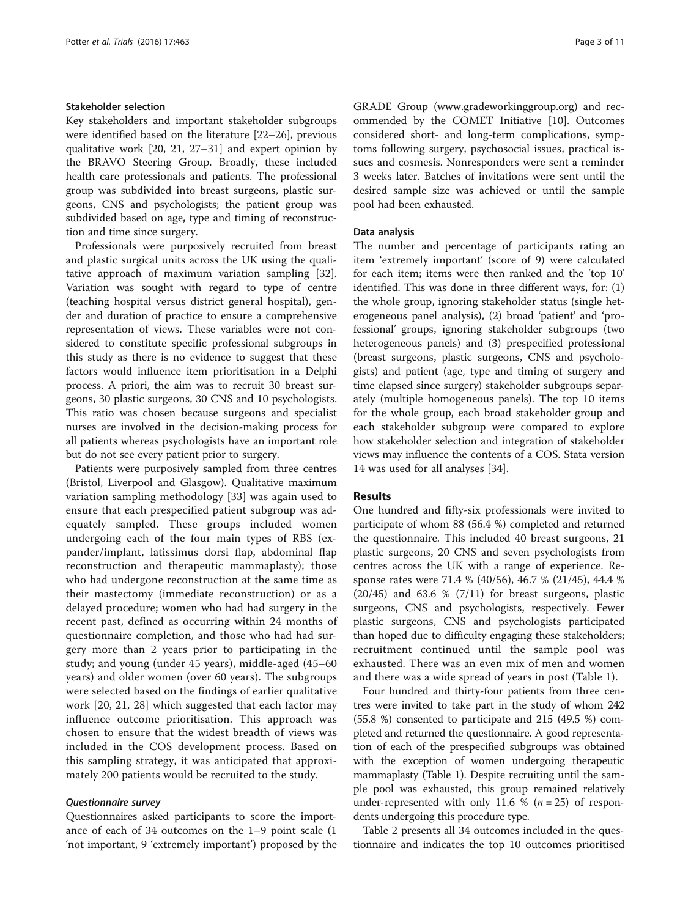# Stakeholder selection

Key stakeholders and important stakeholder subgroups were identified based on the literature [[22](#page-9-0)–[26](#page-9-0)], previous qualitative work [\[20, 21](#page-9-0), [27](#page-9-0)–[31\]](#page-9-0) and expert opinion by the BRAVO Steering Group. Broadly, these included health care professionals and patients. The professional group was subdivided into breast surgeons, plastic surgeons, CNS and psychologists; the patient group was subdivided based on age, type and timing of reconstruction and time since surgery.

Professionals were purposively recruited from breast and plastic surgical units across the UK using the qualitative approach of maximum variation sampling [\[32](#page-9-0)]. Variation was sought with regard to type of centre (teaching hospital versus district general hospital), gender and duration of practice to ensure a comprehensive representation of views. These variables were not considered to constitute specific professional subgroups in this study as there is no evidence to suggest that these factors would influence item prioritisation in a Delphi process. A priori, the aim was to recruit 30 breast surgeons, 30 plastic surgeons, 30 CNS and 10 psychologists. This ratio was chosen because surgeons and specialist nurses are involved in the decision-making process for all patients whereas psychologists have an important role but do not see every patient prior to surgery.

Patients were purposively sampled from three centres (Bristol, Liverpool and Glasgow). Qualitative maximum variation sampling methodology [[33](#page-9-0)] was again used to ensure that each prespecified patient subgroup was adequately sampled. These groups included women undergoing each of the four main types of RBS (expander/implant, latissimus dorsi flap, abdominal flap reconstruction and therapeutic mammaplasty); those who had undergone reconstruction at the same time as their mastectomy (immediate reconstruction) or as a delayed procedure; women who had had surgery in the recent past, defined as occurring within 24 months of questionnaire completion, and those who had had surgery more than 2 years prior to participating in the study; and young (under 45 years), middle-aged (45–60 years) and older women (over 60 years). The subgroups were selected based on the findings of earlier qualitative work [\[20](#page-9-0), [21, 28](#page-9-0)] which suggested that each factor may influence outcome prioritisation. This approach was chosen to ensure that the widest breadth of views was included in the COS development process. Based on this sampling strategy, it was anticipated that approximately 200 patients would be recruited to the study.

# Questionnaire survey

Questionnaires asked participants to score the importance of each of 34 outcomes on the 1–9 point scale (1 'not important, 9 'extremely important') proposed by the GRADE Group ([www.gradeworkinggroup.org\)](http://www.gradeworkinggroup.org) and recommended by the COMET Initiative [[10\]](#page-9-0). Outcomes considered short- and long-term complications, symptoms following surgery, psychosocial issues, practical issues and cosmesis. Nonresponders were sent a reminder 3 weeks later. Batches of invitations were sent until the desired sample size was achieved or until the sample pool had been exhausted.

## Data analysis

The number and percentage of participants rating an item 'extremely important' (score of 9) were calculated for each item; items were then ranked and the 'top 10' identified. This was done in three different ways, for: (1) the whole group, ignoring stakeholder status (single heterogeneous panel analysis), (2) broad 'patient' and 'professional' groups, ignoring stakeholder subgroups (two heterogeneous panels) and (3) prespecified professional (breast surgeons, plastic surgeons, CNS and psychologists) and patient (age, type and timing of surgery and time elapsed since surgery) stakeholder subgroups separately (multiple homogeneous panels). The top 10 items for the whole group, each broad stakeholder group and each stakeholder subgroup were compared to explore how stakeholder selection and integration of stakeholder views may influence the contents of a COS. Stata version 14 was used for all analyses [\[34](#page-9-0)].

## Results

One hundred and fifty-six professionals were invited to participate of whom 88 (56.4 %) completed and returned the questionnaire. This included 40 breast surgeons, 21 plastic surgeons, 20 CNS and seven psychologists from centres across the UK with a range of experience. Response rates were 71.4 % (40/56), 46.7 % (21/45), 44.4 %  $(20/45)$  and  $63.6 % (7/11)$  for breast surgeons, plastic surgeons, CNS and psychologists, respectively. Fewer plastic surgeons, CNS and psychologists participated than hoped due to difficulty engaging these stakeholders; recruitment continued until the sample pool was exhausted. There was an even mix of men and women and there was a wide spread of years in post (Table [1](#page-3-0)).

Four hundred and thirty-four patients from three centres were invited to take part in the study of whom 242 (55.8 %) consented to participate and 215 (49.5 %) completed and returned the questionnaire. A good representation of each of the prespecified subgroups was obtained with the exception of women undergoing therapeutic mammaplasty (Table [1\)](#page-3-0). Despite recruiting until the sample pool was exhausted, this group remained relatively under-represented with only 11.6 % ( $n = 25$ ) of respondents undergoing this procedure type.

Table [2](#page-4-0) presents all 34 outcomes included in the questionnaire and indicates the top 10 outcomes prioritised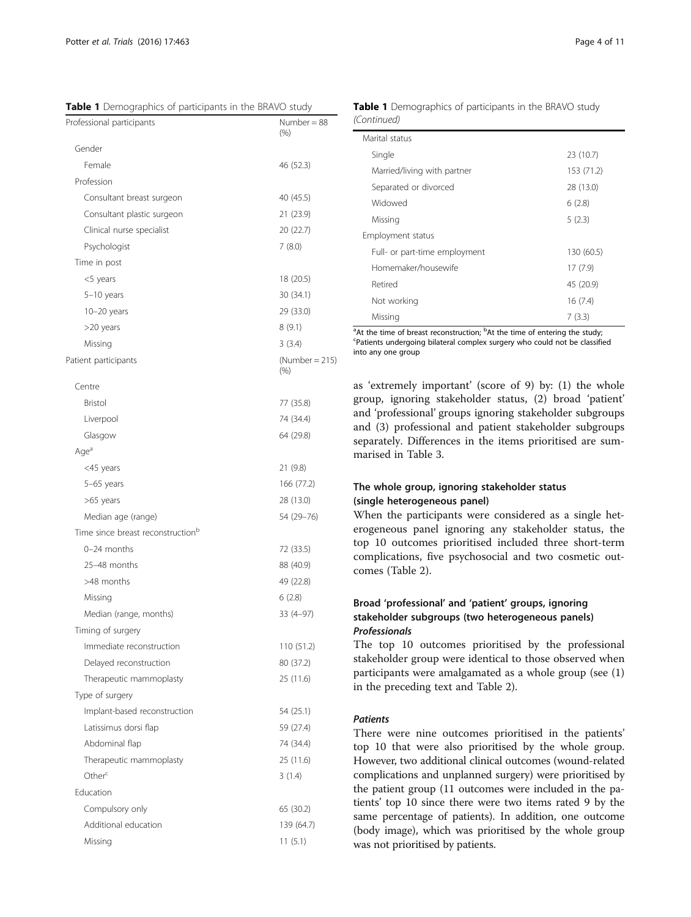<span id="page-3-0"></span>Table 1 Demographics of participants in the BRAVO study

| Number = 88<br>(% )         |
|-----------------------------|
|                             |
| 46 (52.3)                   |
|                             |
| 40 (45.5)                   |
| 21 (23.9)                   |
| 20 (22.7)                   |
| 7(8.0)                      |
|                             |
| 18 (20.5)                   |
| 30 (34.1)                   |
| 29 (33.0)                   |
| 8(9.1)                      |
| 3(3.4)                      |
| $(Number = 215)$<br>$(\% )$ |
|                             |
| 77 (35.8)                   |
| 74 (34.4)                   |
| 64 (29.8)                   |
|                             |
| 21 (9.8)                    |
| 166 (77.2)                  |
| 28 (13.0)                   |
| 54 (29-76)                  |
|                             |
| 72 (33.5)                   |
| 88 (40.9)                   |
| 49 (22.8)                   |
| 6(2.8)                      |
| 33 (4-97)                   |
|                             |
| 110 (51.2)                  |
| 80 (37.2)                   |
| 25 (11.6)                   |
|                             |
| 54 (25.1)                   |
| 59 (27.4)                   |
| 74 (34.4)                   |
| 25 (11.6)                   |
| 3(1.4)                      |
|                             |
| 65 (30.2)                   |
| 139 (64.7)                  |
| 11(5.1)                     |
|                             |

Table 1 Demographics of participants in the BRAVO study (Continued)

| Marital status                |            |
|-------------------------------|------------|
| Single                        | 23 (10.7)  |
| Married/living with partner   | 153 (71.2) |
| Separated or divorced         | 28 (13.0)  |
| Widowed                       | 6(2.8)     |
| Missing                       | 5(2.3)     |
| Employment status             |            |
| Full- or part-time employment | 130 (60.5) |
| Homemaker/housewife           | 17(7.9)    |
| Retired                       | 45 (20.9)  |
| Not working                   | 16(7.4)    |
| Missing                       | 7(3.3)     |

<sup>a</sup> At the time of breast reconstruction; <sup>b</sup>At the time of entering the study;<br><sup>C</sup>Patients undergoing bilateral complex surgery who could not be classified Patients undergoing bilateral complex surgery who could not be classified into any one group

as 'extremely important' (score of 9) by: (1) the whole group, ignoring stakeholder status, (2) broad 'patient' and 'professional' groups ignoring stakeholder subgroups and (3) professional and patient stakeholder subgroups separately. Differences in the items prioritised are summarised in Table [3.](#page-6-0)

# The whole group, ignoring stakeholder status (single heterogeneous panel)

When the participants were considered as a single heterogeneous panel ignoring any stakeholder status, the top 10 outcomes prioritised included three short-term complications, five psychosocial and two cosmetic outcomes (Table [2\)](#page-4-0).

# Broad 'professional' and 'patient' groups, ignoring stakeholder subgroups (two heterogeneous panels) Professionals

The top 10 outcomes prioritised by the professional stakeholder group were identical to those observed when participants were amalgamated as a whole group (see (1) in the preceding text and Table [2\)](#page-4-0).

## Patients

There were nine outcomes prioritised in the patients' top 10 that were also prioritised by the whole group. However, two additional clinical outcomes (wound-related complications and unplanned surgery) were prioritised by the patient group (11 outcomes were included in the patients' top 10 since there were two items rated 9 by the same percentage of patients). In addition, one outcome (body image), which was prioritised by the whole group was not prioritised by patients.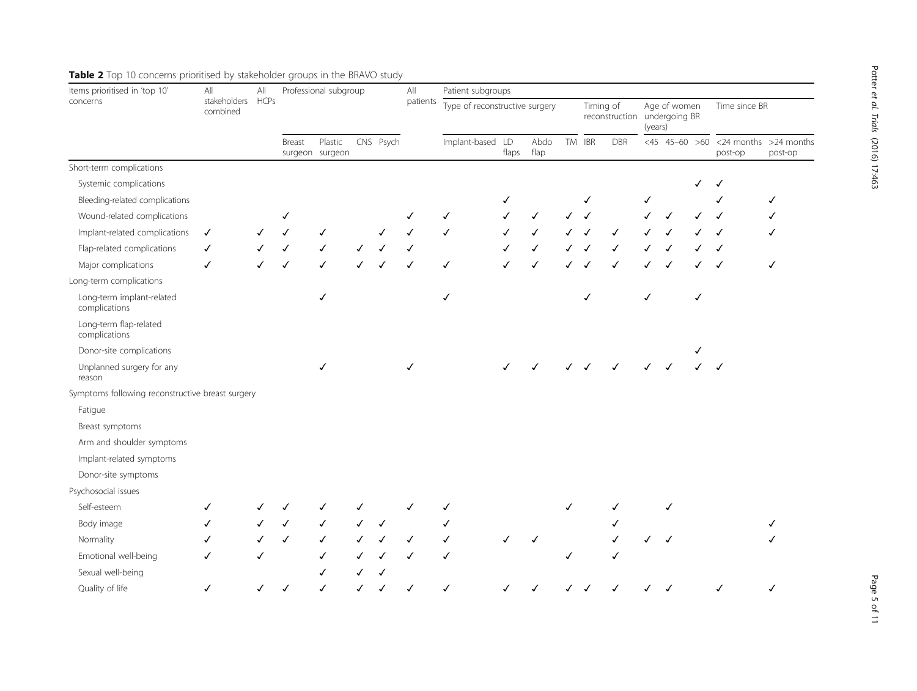Potter

et al. Trials

| Items prioritised in 'top 10'                    | $\mathsf{All}$           | $\mathsf{All}$ |                            | Professional subgroup |           |   | $\mathsf{All}$   | Patient subgroups              |              |    |            |            |  |                                                         |   |                                            |               |  |
|--------------------------------------------------|--------------------------|----------------|----------------------------|-----------------------|-----------|---|------------------|--------------------------------|--------------|----|------------|------------|--|---------------------------------------------------------|---|--------------------------------------------|---------------|--|
| concerns                                         | stakeholders<br>combined | <b>HCPs</b>    |                            |                       |           |   | patients         | Type of reconstructive surgery |              |    |            | Timing of  |  | Age of women<br>reconstruction undergoing BR<br>(years) |   |                                            | Time since BR |  |
|                                                  |                          | Breast         | Plastic<br>surgeon surgeon |                       | CNS Psych |   | Implant-based LD | flaps                          | Abdo<br>flap | TM | <b>IBR</b> | <b>DBR</b> |  |                                                         |   | <45 45-60 >60 <24 months >24 mo<br>post-op | post-op       |  |
| Short-term complications                         |                          |                |                            |                       |           |   |                  |                                |              |    |            |            |  |                                                         |   |                                            |               |  |
| Systemic complications                           |                          |                |                            |                       |           |   |                  |                                |              |    |            |            |  |                                                         |   |                                            |               |  |
| Bleeding-related complications                   |                          |                |                            |                       |           |   |                  |                                |              |    |            |            |  | ✓                                                       |   |                                            |               |  |
| Wound-related complications                      |                          |                | ✓                          |                       |           |   |                  | √                              |              |    |            |            |  |                                                         |   |                                            |               |  |
| Implant-related complications                    | ✓                        |                | ✓                          | ✓                     |           |   |                  | ✓                              |              |    |            |            |  |                                                         |   |                                            |               |  |
| Flap-related complications                       | ✓                        |                |                            | $\checkmark$          |           |   |                  |                                |              |    |            |            |  |                                                         |   |                                            |               |  |
| Major complications                              | $\checkmark$             |                | ✓                          | ✓                     |           |   |                  | ✓                              |              | ✓  |            |            |  |                                                         |   |                                            | √             |  |
| Long-term complications                          |                          |                |                            |                       |           |   |                  |                                |              |    |            |            |  |                                                         |   |                                            |               |  |
| Long-term implant-related<br>complications       |                          |                |                            | ✓                     |           |   |                  | ✓                              |              |    |            | ✓          |  | $\checkmark$                                            |   | ✓                                          |               |  |
| Long-term flap-related<br>complications          |                          |                |                            |                       |           |   |                  |                                |              |    |            |            |  |                                                         |   |                                            |               |  |
| Donor-site complications                         |                          |                |                            |                       |           |   |                  |                                |              |    |            |            |  |                                                         |   |                                            |               |  |
| Unplanned surgery for any<br>reason              |                          |                |                            | ✓                     |           |   | ℐ                |                                |              |    |            |            |  |                                                         |   |                                            |               |  |
| Symptoms following reconstructive breast surgery |                          |                |                            |                       |           |   |                  |                                |              |    |            |            |  |                                                         |   |                                            |               |  |
| Fatigue                                          |                          |                |                            |                       |           |   |                  |                                |              |    |            |            |  |                                                         |   |                                            |               |  |
| Breast symptoms                                  |                          |                |                            |                       |           |   |                  |                                |              |    |            |            |  |                                                         |   |                                            |               |  |
| Arm and shoulder symptoms                        |                          |                |                            |                       |           |   |                  |                                |              |    |            |            |  |                                                         |   |                                            |               |  |
| Implant-related symptoms                         |                          |                |                            |                       |           |   |                  |                                |              |    |            |            |  |                                                         |   |                                            |               |  |
| Donor-site symptoms                              |                          |                |                            |                       |           |   |                  |                                |              |    |            |            |  |                                                         |   |                                            |               |  |
| Psychosocial issues                              |                          |                |                            |                       |           |   |                  |                                |              |    |            |            |  |                                                         |   |                                            |               |  |
| Self-esteem                                      | ✓                        |                |                            |                       |           |   |                  |                                |              |    |            |            |  |                                                         | ✓ |                                            |               |  |
| Body image                                       | ✓                        |                | ✓                          |                       |           | ✓ |                  |                                |              |    |            |            |  |                                                         |   |                                            |               |  |
| Normality                                        | ✓                        |                | ✓                          | ✓                     |           |   |                  | ✓                              |              |    |            |            |  |                                                         | ✓ |                                            |               |  |
| Emotional well-being                             | ✓                        |                |                            | ✓                     |           |   |                  | ✓                              |              |    |            |            |  |                                                         |   |                                            |               |  |
| Sexual well-being                                |                          |                |                            |                       |           |   |                  |                                |              |    |            |            |  |                                                         |   |                                            |               |  |
| Quality of life                                  | ✓                        |                |                            |                       |           |   |                  | ✓                              |              |    |            |            |  |                                                         |   |                                            |               |  |

# <span id="page-4-0"></span>Table 2 Top 10 concerns prioritised by stakeholder groups in the BRAVO study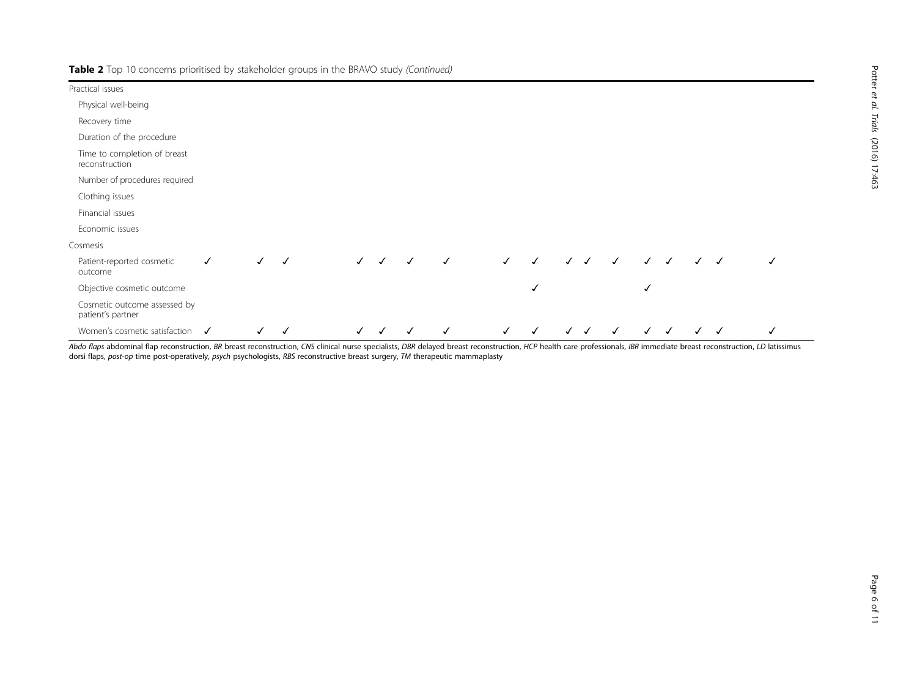Table 2 Top 10 concerns prioritised by stakeholder groups in the BRAVO study (Continued)

| Practical issues                                  |              |              |              |              |              |   |              |              |              |                           |              |              |                           |              |              |              |
|---------------------------------------------------|--------------|--------------|--------------|--------------|--------------|---|--------------|--------------|--------------|---------------------------|--------------|--------------|---------------------------|--------------|--------------|--------------|
| Physical well-being                               |              |              |              |              |              |   |              |              |              |                           |              |              |                           |              |              |              |
| Recovery time                                     |              |              |              |              |              |   |              |              |              |                           |              |              |                           |              |              |              |
| Duration of the procedure                         |              |              |              |              |              |   |              |              |              |                           |              |              |                           |              |              |              |
| Time to completion of breast<br>reconstruction    |              |              |              |              |              |   |              |              |              |                           |              |              |                           |              |              |              |
| Number of procedures required                     |              |              |              |              |              |   |              |              |              |                           |              |              |                           |              |              |              |
| Clothing issues                                   |              |              |              |              |              |   |              |              |              |                           |              |              |                           |              |              |              |
| Financial issues                                  |              |              |              |              |              |   |              |              |              |                           |              |              |                           |              |              |              |
| Economic issues                                   |              |              |              |              |              |   |              |              |              |                           |              |              |                           |              |              |              |
| Cosmesis                                          |              |              |              |              |              |   |              |              |              |                           |              |              |                           |              |              |              |
| Patient-reported cosmetic<br>outcome              | $\checkmark$ | $\checkmark$ | $\checkmark$ | $\checkmark$ | $\checkmark$ | ✓ | $\checkmark$ | $\checkmark$ | $\checkmark$ | $\checkmark$ $\checkmark$ | $\checkmark$ | $\checkmark$ | $\checkmark$              |              | $\checkmark$ | √            |
| Objective cosmetic outcome                        |              |              |              |              |              |   |              |              | ✓            |                           |              | √            |                           |              |              |              |
| Cosmetic outcome assessed by<br>patient's partner |              |              |              |              |              |   |              |              |              |                           |              |              |                           |              |              |              |
| Women's cosmetic satisfaction $\checkmark$        |              | $\checkmark$ | √            | $\checkmark$ | $\checkmark$ | ✓ | $\checkmark$ | $\checkmark$ | $\checkmark$ | $\checkmark$ $\checkmark$ | $\checkmark$ |              | $\checkmark$ $\checkmark$ | $\checkmark$ | $\checkmark$ | $\checkmark$ |

Abdo flaps abdominal flap reconstruction, BR breast reconstruction, CNS clinical nurse specialists, DBR delayed breast reconstruction, HCP health care professionals, IBR immediate breast reconstruction, LD latissimus dorsi flaps, post-op time post-operatively, psych psychologists, RBS reconstructive breast surgery, TM therapeutic mammaplasty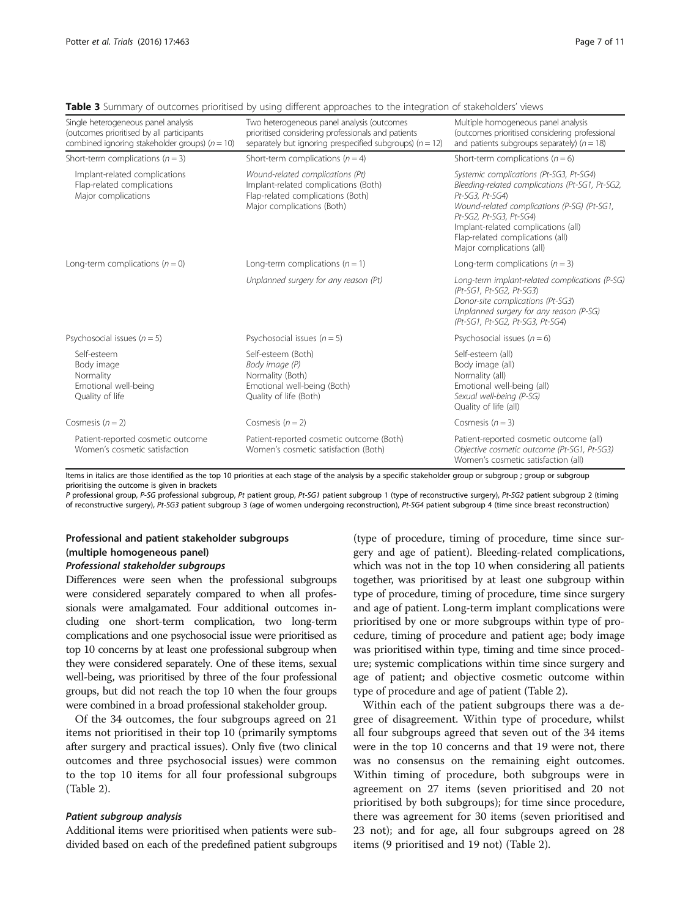| Single heterogeneous panel analysis<br>(outcomes prioritised by all participants<br>combined ignoring stakeholder groups) ( $n = 10$ ) | Two heterogeneous panel analysis (outcomes<br>prioritised considering professionals and patients<br>separately but ignoring prespecified subgroups) ( $n = 12$ ) | Multiple homogeneous panel analysis<br>(outcomes prioritised considering professional<br>and patients subgroups separately) ( $n = 18$ )                                                                                                                                                        |  |  |  |  |  |
|----------------------------------------------------------------------------------------------------------------------------------------|------------------------------------------------------------------------------------------------------------------------------------------------------------------|-------------------------------------------------------------------------------------------------------------------------------------------------------------------------------------------------------------------------------------------------------------------------------------------------|--|--|--|--|--|
| Short-term complications ( $n = 3$ )                                                                                                   | Short-term complications ( $n = 4$ )                                                                                                                             | Short-term complications ( $n = 6$ )                                                                                                                                                                                                                                                            |  |  |  |  |  |
| Implant-related complications<br>Flap-related complications<br>Major complications                                                     | Wound-related complications (Pt)<br>Implant-related complications (Both)<br>Flap-related complications (Both)<br>Major complications (Both)                      | Systemic complications (Pt-SG3, Pt-SG4)<br>Bleeding-related complications (Pt-SG1, Pt-SG2,<br>Pt-SG3, Pt-SG4)<br>Wound-related complications (P-SG) (Pt-SG1,<br>Pt-SG2, Pt-SG3, Pt-SG4)<br>Implant-related complications (all)<br>Flap-related complications (all)<br>Major complications (all) |  |  |  |  |  |
| Long-term complications $(n = 0)$                                                                                                      | Long-term complications $(n = 1)$                                                                                                                                | Long-term complications ( $n = 3$ )                                                                                                                                                                                                                                                             |  |  |  |  |  |
|                                                                                                                                        | Unplanned surgery for any reason (Pt)                                                                                                                            | Long-term implant-related complications (P-SG)<br>(Pt-SG1, Pt-SG2, Pt-SG3)<br>Donor-site complications (Pt-SG3)<br>Unplanned surgery for any reason (P-SG)<br>(Pt-SG1, Pt-SG2, Pt-SG3, Pt-SG4)                                                                                                  |  |  |  |  |  |
| Psychosocial issues $(n = 5)$                                                                                                          | Psychosocial issues $(n = 5)$                                                                                                                                    | Psychosocial issues $(n = 6)$                                                                                                                                                                                                                                                                   |  |  |  |  |  |
| Self-esteem<br>Body image<br>Normality<br>Emotional well-being<br>Quality of life                                                      | Self-esteem (Both)<br>Body image (P)<br>Normality (Both)<br>Emotional well-being (Both)<br>Quality of life (Both)                                                | Self-esteem (all)<br>Body image (all)<br>Normality (all)<br>Emotional well-being (all)<br>Sexual well-being (P-SG)<br>Quality of life (all)                                                                                                                                                     |  |  |  |  |  |
| Cosmesis $(n = 2)$                                                                                                                     | Cosmesis $(n = 2)$                                                                                                                                               | Cosmesis $(n = 3)$                                                                                                                                                                                                                                                                              |  |  |  |  |  |
| Patient-reported cosmetic outcome<br>Women's cosmetic satisfaction                                                                     | Patient-reported cosmetic outcome (Both)<br>Women's cosmetic satisfaction (Both)                                                                                 | Patient-reported cosmetic outcome (all)<br>Objective cosmetic outcome (Pt-SG1, Pt-SG3)<br>Women's cosmetic satisfaction (all)                                                                                                                                                                   |  |  |  |  |  |

<span id="page-6-0"></span>**Table 3** Summary of outcomes prioritised by using different approaches to the integration of stakeholders' views

Items in italics are those identified as the top 10 priorities at each stage of the analysis by a specific stakeholder group or subgroup ; group or subgroup prioritising the outcome is given in brackets

P professional group, P-SG professional subgroup, Pt patient group, Pt-SG1 patient subgroup 1 (type of reconstructive surgery), Pt-SG2 patient subgroup 2 (timing of reconstructive surgery), Pt-SG3 patient subgroup 3 (age of women undergoing reconstruction), Pt-SG4 patient subgroup 4 (time since breast reconstruction)

# Professional and patient stakeholder subgroups (multiple homogeneous panel)

# Professional stakeholder subgroups

Differences were seen when the professional subgroups were considered separately compared to when all professionals were amalgamated. Four additional outcomes including one short-term complication, two long-term complications and one psychosocial issue were prioritised as top 10 concerns by at least one professional subgroup when they were considered separately. One of these items, sexual well-being, was prioritised by three of the four professional groups, but did not reach the top 10 when the four groups were combined in a broad professional stakeholder group.

Of the 34 outcomes, the four subgroups agreed on 21 items not prioritised in their top 10 (primarily symptoms after surgery and practical issues). Only five (two clinical outcomes and three psychosocial issues) were common to the top 10 items for all four professional subgroups (Table [2\)](#page-4-0).

## Patient subgroup analysis

Additional items were prioritised when patients were subdivided based on each of the predefined patient subgroups (type of procedure, timing of procedure, time since surgery and age of patient). Bleeding-related complications, which was not in the top 10 when considering all patients together, was prioritised by at least one subgroup within type of procedure, timing of procedure, time since surgery and age of patient. Long-term implant complications were prioritised by one or more subgroups within type of procedure, timing of procedure and patient age; body image was prioritised within type, timing and time since procedure; systemic complications within time since surgery and age of patient; and objective cosmetic outcome within type of procedure and age of patient (Table [2](#page-4-0)).

Within each of the patient subgroups there was a degree of disagreement. Within type of procedure, whilst all four subgroups agreed that seven out of the 34 items were in the top 10 concerns and that 19 were not, there was no consensus on the remaining eight outcomes. Within timing of procedure, both subgroups were in agreement on 27 items (seven prioritised and 20 not prioritised by both subgroups); for time since procedure, there was agreement for 30 items (seven prioritised and 23 not); and for age, all four subgroups agreed on 28 items (9 prioritised and 19 not) (Table [2](#page-4-0)).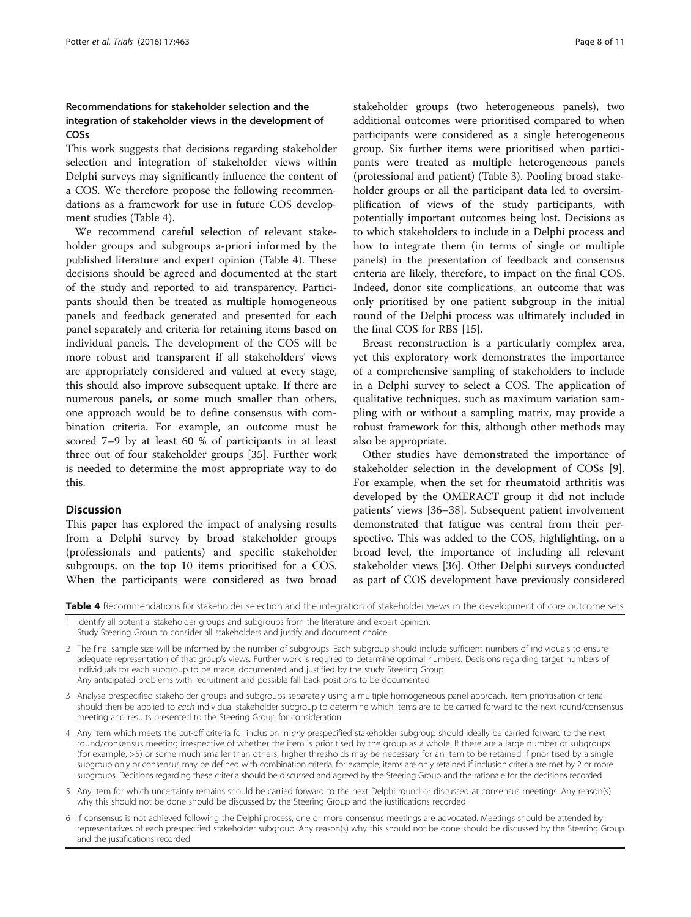# Recommendations for stakeholder selection and the integration of stakeholder views in the development of COSs

This work suggests that decisions regarding stakeholder selection and integration of stakeholder views within Delphi surveys may significantly influence the content of a COS. We therefore propose the following recommendations as a framework for use in future COS development studies (Table 4).

We recommend careful selection of relevant stakeholder groups and subgroups a-priori informed by the published literature and expert opinion (Table 4). These decisions should be agreed and documented at the start of the study and reported to aid transparency. Participants should then be treated as multiple homogeneous panels and feedback generated and presented for each panel separately and criteria for retaining items based on individual panels. The development of the COS will be more robust and transparent if all stakeholders' views are appropriately considered and valued at every stage, this should also improve subsequent uptake. If there are numerous panels, or some much smaller than others, one approach would be to define consensus with combination criteria. For example, an outcome must be scored 7–9 by at least 60 % of participants in at least three out of four stakeholder groups [[35](#page-10-0)]. Further work is needed to determine the most appropriate way to do this.

#### **Discussion**

This paper has explored the impact of analysing results from a Delphi survey by broad stakeholder groups (professionals and patients) and specific stakeholder subgroups, on the top 10 items prioritised for a COS. When the participants were considered as two broad stakeholder groups (two heterogeneous panels), two additional outcomes were prioritised compared to when participants were considered as a single heterogeneous group. Six further items were prioritised when participants were treated as multiple heterogeneous panels (professional and patient) (Table [3\)](#page-6-0). Pooling broad stakeholder groups or all the participant data led to oversimplification of views of the study participants, with potentially important outcomes being lost. Decisions as to which stakeholders to include in a Delphi process and how to integrate them (in terms of single or multiple panels) in the presentation of feedback and consensus criteria are likely, therefore, to impact on the final COS. Indeed, donor site complications, an outcome that was only prioritised by one patient subgroup in the initial round of the Delphi process was ultimately included in the final COS for RBS [\[15\]](#page-9-0).

Breast reconstruction is a particularly complex area, yet this exploratory work demonstrates the importance of a comprehensive sampling of stakeholders to include in a Delphi survey to select a COS. The application of qualitative techniques, such as maximum variation sampling with or without a sampling matrix, may provide a robust framework for this, although other methods may also be appropriate.

Other studies have demonstrated the importance of stakeholder selection in the development of COSs [\[9](#page-9-0)]. For example, when the set for rheumatoid arthritis was developed by the OMERACT group it did not include patients' views [\[36](#page-10-0)–[38\]](#page-10-0). Subsequent patient involvement demonstrated that fatigue was central from their perspective. This was added to the COS, highlighting, on a broad level, the importance of including all relevant stakeholder views [[36](#page-10-0)]. Other Delphi surveys conducted as part of COS development have previously considered

Table 4 Recommendations for stakeholder selection and the integration of stakeholder views in the development of core outcome sets

Identify all potential stakeholder groups and subgroups from the literature and expert opinion. Study Steering Group to consider all stakeholders and justify and document choice

2 The final sample size will be informed by the number of subgroups. Each subgroup should include sufficient numbers of individuals to ensure adequate representation of that group's views. Further work is required to determine optimal numbers. Decisions regarding target numbers of individuals for each subgroup to be made, documented and justified by the study Steering Group. Any anticipated problems with recruitment and possible fall-back positions to be documented

- 3 Analyse prespecified stakeholder groups and subgroups separately using a multiple homogeneous panel approach. Item prioritisation criteria should then be applied to each individual stakeholder subgroup to determine which items are to be carried forward to the next round/consensus meeting and results presented to the Steering Group for consideration
- 4 Any item which meets the cut-off criteria for inclusion in any prespecified stakeholder subgroup should ideally be carried forward to the next round/consensus meeting irrespective of whether the item is prioritised by the group as a whole. If there are a large number of subgroups (for example, >5) or some much smaller than others, higher thresholds may be necessary for an item to be retained if prioritised by a single subgroup only or consensus may be defined with combination criteria; for example, items are only retained if inclusion criteria are met by 2 or more subgroups. Decisions regarding these criteria should be discussed and agreed by the Steering Group and the rationale for the decisions recorded
- 5 Any item for which uncertainty remains should be carried forward to the next Delphi round or discussed at consensus meetings. Any reason(s) why this should not be done should be discussed by the Steering Group and the justifications recorded
- 6 If consensus is not achieved following the Delphi process, one or more consensus meetings are advocated. Meetings should be attended by representatives of each prespecified stakeholder subgroup. Any reason(s) why this should not be done should be discussed by the Steering Group and the justifications recorded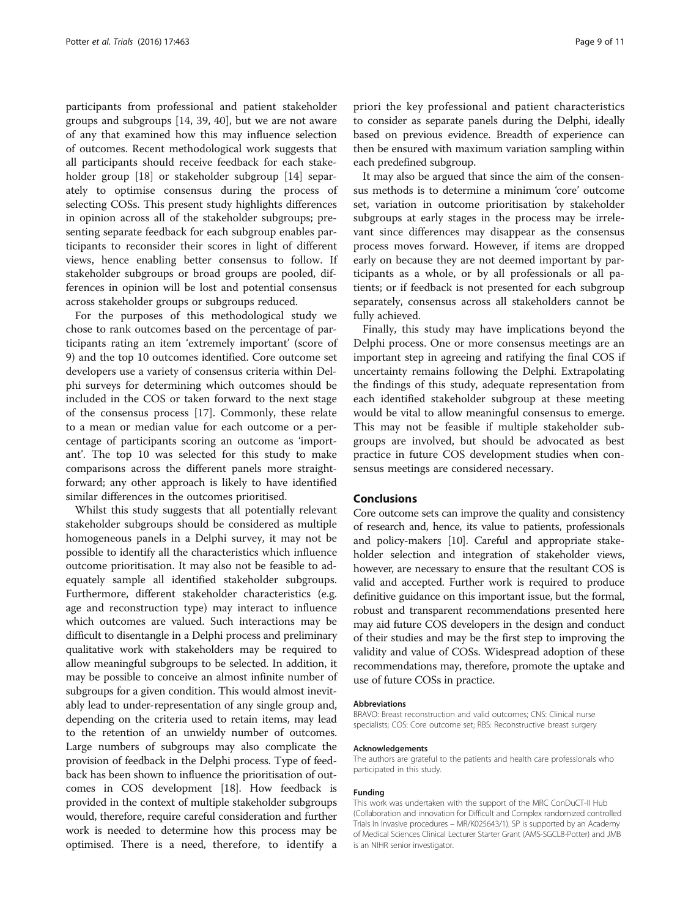participants from professional and patient stakeholder groups and subgroups [\[14](#page-9-0), [39](#page-10-0), [40](#page-10-0)], but we are not aware of any that examined how this may influence selection of outcomes. Recent methodological work suggests that all participants should receive feedback for each stake-holder group [\[18](#page-9-0)] or stakeholder subgroup [\[14\]](#page-9-0) separately to optimise consensus during the process of selecting COSs. This present study highlights differences in opinion across all of the stakeholder subgroups; presenting separate feedback for each subgroup enables participants to reconsider their scores in light of different views, hence enabling better consensus to follow. If stakeholder subgroups or broad groups are pooled, differences in opinion will be lost and potential consensus across stakeholder groups or subgroups reduced.

For the purposes of this methodological study we chose to rank outcomes based on the percentage of participants rating an item 'extremely important' (score of 9) and the top 10 outcomes identified. Core outcome set developers use a variety of consensus criteria within Delphi surveys for determining which outcomes should be included in the COS or taken forward to the next stage of the consensus process [[17](#page-9-0)]. Commonly, these relate to a mean or median value for each outcome or a percentage of participants scoring an outcome as 'important'. The top 10 was selected for this study to make comparisons across the different panels more straightforward; any other approach is likely to have identified similar differences in the outcomes prioritised.

Whilst this study suggests that all potentially relevant stakeholder subgroups should be considered as multiple homogeneous panels in a Delphi survey, it may not be possible to identify all the characteristics which influence outcome prioritisation. It may also not be feasible to adequately sample all identified stakeholder subgroups. Furthermore, different stakeholder characteristics (e.g. age and reconstruction type) may interact to influence which outcomes are valued. Such interactions may be difficult to disentangle in a Delphi process and preliminary qualitative work with stakeholders may be required to allow meaningful subgroups to be selected. In addition, it may be possible to conceive an almost infinite number of subgroups for a given condition. This would almost inevitably lead to under-representation of any single group and, depending on the criteria used to retain items, may lead to the retention of an unwieldy number of outcomes. Large numbers of subgroups may also complicate the provision of feedback in the Delphi process. Type of feedback has been shown to influence the prioritisation of outcomes in COS development [\[18\]](#page-9-0). How feedback is provided in the context of multiple stakeholder subgroups would, therefore, require careful consideration and further work is needed to determine how this process may be optimised. There is a need, therefore, to identify a

priori the key professional and patient characteristics to consider as separate panels during the Delphi, ideally based on previous evidence. Breadth of experience can then be ensured with maximum variation sampling within each predefined subgroup.

It may also be argued that since the aim of the consensus methods is to determine a minimum 'core' outcome set, variation in outcome prioritisation by stakeholder subgroups at early stages in the process may be irrelevant since differences may disappear as the consensus process moves forward. However, if items are dropped early on because they are not deemed important by participants as a whole, or by all professionals or all patients; or if feedback is not presented for each subgroup separately, consensus across all stakeholders cannot be fully achieved.

Finally, this study may have implications beyond the Delphi process. One or more consensus meetings are an important step in agreeing and ratifying the final COS if uncertainty remains following the Delphi. Extrapolating the findings of this study, adequate representation from each identified stakeholder subgroup at these meeting would be vital to allow meaningful consensus to emerge. This may not be feasible if multiple stakeholder subgroups are involved, but should be advocated as best practice in future COS development studies when consensus meetings are considered necessary.

## Conclusions

Core outcome sets can improve the quality and consistency of research and, hence, its value to patients, professionals and policy-makers [\[10\]](#page-9-0). Careful and appropriate stakeholder selection and integration of stakeholder views, however, are necessary to ensure that the resultant COS is valid and accepted. Further work is required to produce definitive guidance on this important issue, but the formal, robust and transparent recommendations presented here may aid future COS developers in the design and conduct of their studies and may be the first step to improving the validity and value of COSs. Widespread adoption of these recommendations may, therefore, promote the uptake and use of future COSs in practice.

#### Abbreviations

BRAVO: Breast reconstruction and valid outcomes; CNS: Clinical nurse specialists; COS: Core outcome set; RBS: Reconstructive breast surgery

#### Acknowledgements

The authors are grateful to the patients and health care professionals who participated in this study.

#### Funding

This work was undertaken with the support of the MRC ConDuCT-II Hub (Collaboration and innovation for Difficult and Complex randomized controlled Trials In Invasive procedures – MR/K025643/1). SP is supported by an Academy of Medical Sciences Clinical Lecturer Starter Grant (AMS-SGCL8-Potter) and JMB is an NIHR senior investigator.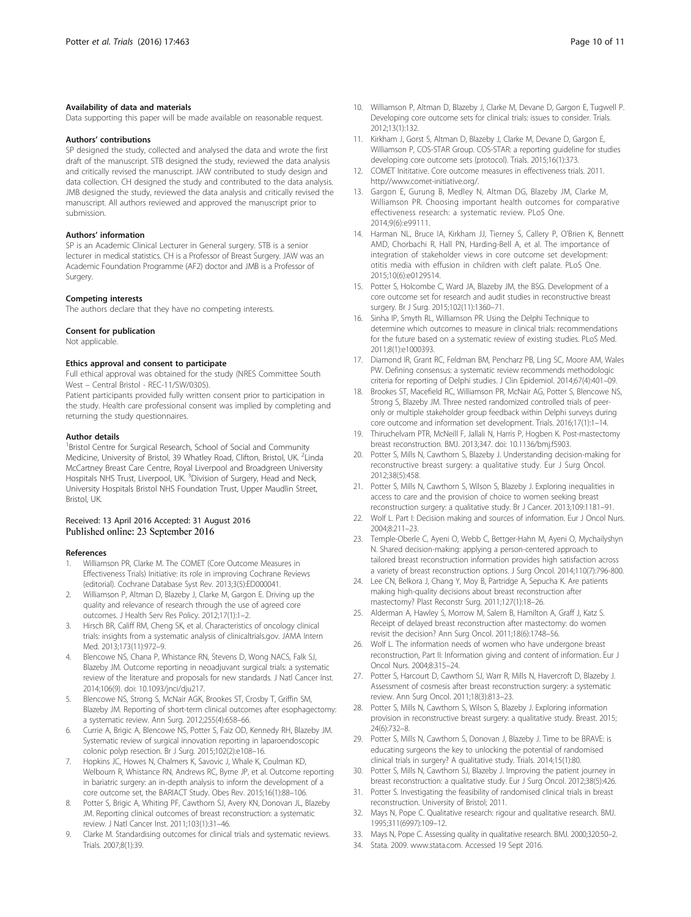### <span id="page-9-0"></span>Availability of data and materials

Data supporting this paper will be made available on reasonable request.

#### Authors' contributions

SP designed the study, collected and analysed the data and wrote the first draft of the manuscript. STB designed the study, reviewed the data analysis and critically revised the manuscript. JAW contributed to study design and data collection. CH designed the study and contributed to the data analysis. JMB designed the study, reviewed the data analysis and critically revised the manuscript. All authors reviewed and approved the manuscript prior to submission.

#### Authors' information

SP is an Academic Clinical Lecturer in General surgery. STB is a senior lecturer in medical statistics. CH is a Professor of Breast Surgery. JAW was an Academic Foundation Programme (AF2) doctor and JMB is a Professor of Surgery.

#### Competing interests

The authors declare that they have no competing interests.

#### Consent for publication

Not applicable.

#### Ethics approval and consent to participate

Full ethical approval was obtained for the study (NRES Committee South West – Central Bristol - REC-11/SW/0305).

Patient participants provided fully written consent prior to participation in the study. Health care professional consent was implied by completing and returning the study questionnaires.

#### Author details

<sup>1</sup> Bristol Centre for Surgical Research, School of Social and Community Medicine, University of Bristol, 39 Whatley Road, Clifton, Bristol, UK. <sup>2</sup>Linda McCartney Breast Care Centre, Royal Liverpool and Broadgreen University Hospitals NHS Trust, Liverpool, UK. <sup>3</sup>Division of Surgery, Head and Neck, University Hospitals Bristol NHS Foundation Trust, Upper Maudlin Street, Bristol, UK.

### Received: 13 April 2016 Accepted: 31 August 2016 Published online: 23 September 2016

#### References

- 1. Williamson PR, Clarke M. The COMET (Core Outcome Measures in Effectiveness Trials) Initiative: its role in improving Cochrane Reviews (editorial). Cochrane Database Syst Rev. 2013;3(5):ED000041.
- 2. Williamson P, Altman D, Blazeby J, Clarke M, Gargon E. Driving up the quality and relevance of research through the use of agreed core outcomes. J Health Serv Res Policy. 2012;17(1):1–2.
- 3. Hirsch BR, Califf RM, Cheng SK, et al. Characteristics of oncology clinical trials: insights from a systematic analysis of clinicaltrials.gov. JAMA Intern Med. 2013;173(11):972–9.
- Blencowe NS, Chana P, Whistance RN, Stevens D, Wong NACS, Falk SJ, Blazeby JM. Outcome reporting in neoadjuvant surgical trials: a systematic review of the literature and proposals for new standards. J Natl Cancer Inst. 2014;106(9). doi: [10.1093/jnci/dju217](http://dx.doi.org/10.1093/jnci/dju217).
- 5. Blencowe NS, Strong S, McNair AGK, Brookes ST, Crosby T, Griffin SM, Blazeby JM. Reporting of short-term clinical outcomes after esophagectomy: a systematic review. Ann Surg. 2012;255(4):658–66.
- Currie A, Brigic A, Blencowe NS, Potter S, Faiz OD, Kennedy RH, Blazeby JM. Systematic review of surgical innovation reporting in laparoendoscopic colonic polyp resection. Br J Surg. 2015;102(2):e108–16.
- 7. Hopkins JC, Howes N, Chalmers K, Savovic J, Whale K, Coulman KD, Welbourn R, Whistance RN, Andrews RC, Byrne JP, et al. Outcome reporting in bariatric surgery: an in-depth analysis to inform the development of a core outcome set, the BARIACT Study. Obes Rev. 2015;16(1):88–106.
- Potter S, Brigic A, Whiting PF, Cawthorn SJ, Avery KN, Donovan JL, Blazeby JM. Reporting clinical outcomes of breast reconstruction: a systematic review. J Natl Cancer Inst. 2011;103(1):31–46.
- Clarke M. Standardising outcomes for clinical trials and systematic reviews. Trials. 2007;8(1):39.
- 10. Williamson P, Altman D, Blazeby J, Clarke M, Devane D, Gargon E, Tugwell P. Developing core outcome sets for clinical trials: issues to consider. Trials. 2012;13(1):132.
- 11. Kirkham J, Gorst S, Altman D, Blazeby J, Clarke M, Devane D, Gargon E, Williamson P, COS-STAR Group. COS-STAR: a reporting guideline for studies developing core outcome sets (protocol). Trials. 2015;16(1):373.
- 12. COMET Inititative. Core outcome measures in effectiveness trials. 2011. [http://www.comet-initiative.org/.](http://www.comet-initiative.org/)
- 13. Gargon E, Gurung B, Medley N, Altman DG, Blazeby JM, Clarke M, Williamson PR. Choosing important health outcomes for comparative effectiveness research: a systematic review. PLoS One. 2014;9(6):e99111.
- 14. Harman NL, Bruce IA, Kirkham JJ, Tierney S, Callery P, O'Brien K, Bennett AMD, Chorbachi R, Hall PN, Harding-Bell A, et al. The importance of integration of stakeholder views in core outcome set development: otitis media with effusion in children with cleft palate. PLoS One. 2015;10(6):e0129514.
- 15. Potter S, Holcombe C, Ward JA, Blazeby JM, the BSG. Development of a core outcome set for research and audit studies in reconstructive breast surgery. Br J Surg. 2015;102(11):1360–71.
- 16. Sinha IP, Smyth RL, Williamson PR. Using the Delphi Technique to determine which outcomes to measure in clinical trials: recommendations for the future based on a systematic review of existing studies. PLoS Med. 2011;8(1):e1000393.
- 17. Diamond IR, Grant RC, Feldman BM, Pencharz PB, Ling SC, Moore AM, Wales PW. Defining consensus: a systematic review recommends methodologic criteria for reporting of Delphi studies. J Clin Epidemiol. 2014;67(4):401–09.
- 18. Brookes ST, Macefield RC, Williamson PR, McNair AG, Potter S, Blencowe NS, Strong S, Blazeby JM. Three nested randomized controlled trials of peeronly or multiple stakeholder group feedback within Delphi surveys during core outcome and information set development. Trials. 2016;17(1):1–14.
- 19. Thiruchelvam PTR, McNeill F, Jallali N, Harris P, Hogben K. Post-mastectomy breast reconstruction. BMJ. 2013;347. doi: [10.1136/bmj.f5903](http://dx.doi.org/10.1136/bmj.f5903).
- 20. Potter S, Mills N, Cawthorn S, Blazeby J. Understanding decision-making for reconstructive breast surgery: a qualitative study. Eur J Surg Oncol. 2012;38(5):458.
- 21. Potter S, Mills N, Cawthorn S, Wilson S, Blazeby J. Exploring inequalities in access to care and the provision of choice to women seeking breast reconstruction surgery: a qualitative study. Br J Cancer. 2013;109:1181–91.
- 22. Wolf L. Part I: Decision making and sources of information. Eur J Oncol Nurs. 2004;8:211–23.
- 23. Temple-Oberle C, Ayeni O, Webb C, Bettger-Hahn M, Ayeni O, Mychailyshyn N. Shared decision-making: applying a person-centered approach to tailored breast reconstruction information provides high satisfaction across a variety of breast reconstruction options. J Surg Oncol. 2014;110(7):796-800.
- 24. Lee CN, Belkora J, Chang Y, Moy B, Partridge A, Sepucha K. Are patients making high-quality decisions about breast reconstruction after mastectomy? Plast Reconstr Surg. 2011;127(1):18–26.
- 25. Alderman A, Hawley S, Morrow M, Salem B, Hamilton A, Graff J, Katz S. Receipt of delayed breast reconstruction after mastectomy: do women revisit the decision? Ann Surg Oncol. 2011;18(6):1748–56.
- 26. Wolf L. The information needs of women who have undergone breast reconstruction, Part II: Information giving and content of information. Eur J Oncol Nurs. 2004;8:315–24.
- 27. Potter S, Harcourt D, Cawthorn SJ, Warr R, Mills N, Havercroft D, Blazeby J. Assessment of cosmesis after breast reconstruction surgery: a systematic review. Ann Surg Oncol. 2011;18(3):813–23.
- 28. Potter S, Mills N, Cawthorn S, Wilson S, Blazeby J. Exploring information provision in reconstructive breast surgery: a qualitative study. Breast. 2015; 24(6):732–8.
- 29. Potter S, Mills N, Cawthorn S, Donovan J, Blazeby J. Time to be BRAVE: is educating surgeons the key to unlocking the potential of randomised clinical trials in surgery? A qualitative study. Trials. 2014;15(1):80.
- 30. Potter S, Mills N, Cawthorn SJ, Blazeby J. Improving the patient journey in breast reconstruction: a qualitative study. Eur J Surg Oncol. 2012;38(5):426.
- 31. Potter S. Investigating the feasibility of randomised clinical trials in breast reconstruction. University of Bristol; 2011.
- 32. Mays N, Pope C. Qualitative research: rigour and qualitative research. BMJ. 1995;311(6997):109–12.
- 33. Mays N, Pope C. Assessing quality in qualitative research. BMJ. 2000;320:50–2.
- 34. Stata. 2009. [www.stata.com.](http://www.stata.com) Accessed 19 Sept 2016.